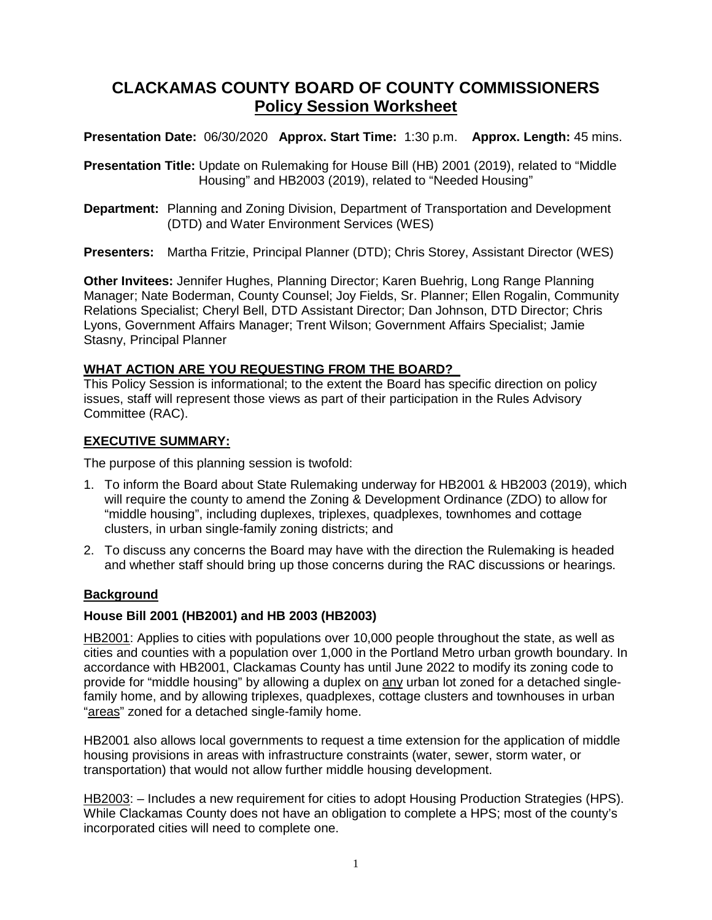# **CLACKAMAS COUNTY BOARD OF COUNTY COMMISSIONERS Policy Session Worksheet**

**Presentation Date:** 06/30/2020 **Approx. Start Time:** 1:30 p.m. **Approx. Length:** 45 mins.

**Presentation Title:** Update on Rulemaking for House Bill (HB) 2001 (2019), related to "Middle Housing" and HB2003 (2019), related to "Needed Housing"

**Department:** Planning and Zoning Division, Department of Transportation and Development (DTD) and Water Environment Services (WES)

**Presenters:** Martha Fritzie, Principal Planner (DTD); Chris Storey, Assistant Director (WES)

**Other Invitees:** Jennifer Hughes, Planning Director; Karen Buehrig, Long Range Planning Manager; Nate Boderman, County Counsel; Joy Fields, Sr. Planner; Ellen Rogalin, Community Relations Specialist; Cheryl Bell, DTD Assistant Director; Dan Johnson, DTD Director; Chris Lyons, Government Affairs Manager; Trent Wilson; Government Affairs Specialist; Jamie Stasny, Principal Planner

# **WHAT ACTION ARE YOU REQUESTING FROM THE BOARD?**

This Policy Session is informational; to the extent the Board has specific direction on policy issues, staff will represent those views as part of their participation in the Rules Advisory Committee (RAC).

# **EXECUTIVE SUMMARY:**

The purpose of this planning session is twofold:

- 1. To inform the Board about State Rulemaking underway for HB2001 & HB2003 (2019), which will require the county to amend the Zoning & Development Ordinance (ZDO) to allow for "middle housing", including duplexes, triplexes, quadplexes, townhomes and cottage clusters, in urban single-family zoning districts; and
- 2. To discuss any concerns the Board may have with the direction the Rulemaking is headed and whether staff should bring up those concerns during the RAC discussions or hearings.

# **Background**

# **House Bill 2001 (HB2001) and HB 2003 (HB2003)**

HB2001: Applies to cities with populations over 10,000 people throughout the state, as well as cities and counties with a population over 1,000 in the Portland Metro urban growth boundary. In accordance with HB2001, Clackamas County has until June 2022 to modify its zoning code to provide for "middle housing" by allowing a duplex on any urban lot zoned for a detached singlefamily home, and by allowing triplexes, quadplexes, cottage clusters and townhouses in urban "areas" zoned for a detached single-family home.

HB2001 also allows local governments to request a time extension for the application of middle housing provisions in areas with infrastructure constraints (water, sewer, storm water, or transportation) that would not allow further middle housing development.

HB2003: - Includes a new requirement for cities to adopt Housing Production Strategies (HPS). While Clackamas County does not have an obligation to complete a HPS; most of the county's incorporated cities will need to complete one.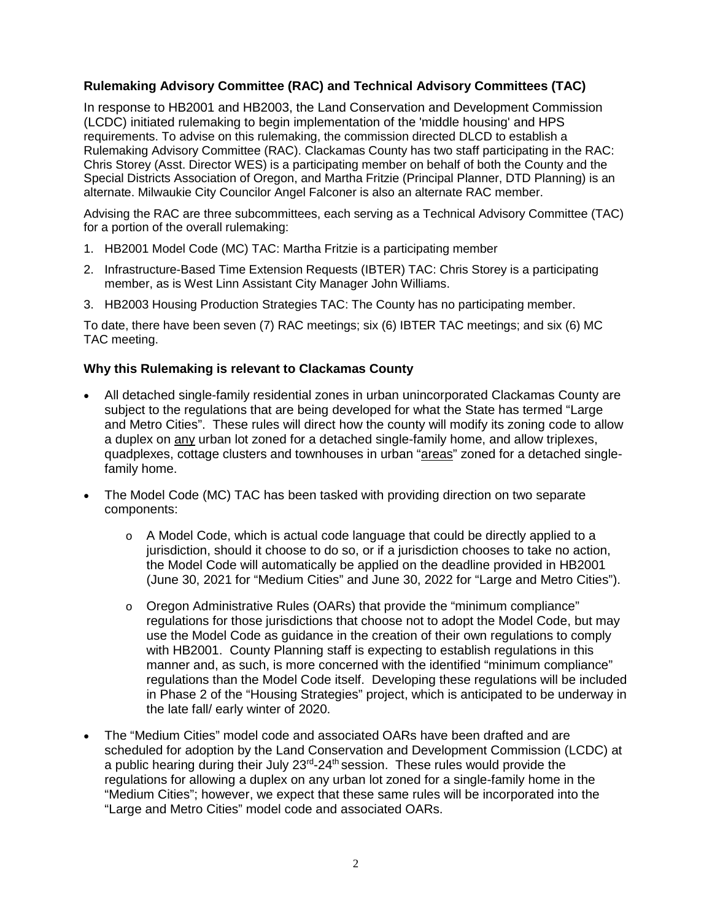# **Rulemaking Advisory Committee (RAC) and Technical Advisory Committees (TAC)**

In response to HB2001 and HB2003, the Land Conservation and Development Commission (LCDC) initiated rulemaking to begin implementation of the 'middle housing' and HPS requirements. To advise on this rulemaking, the commission directed DLCD to establish a Rulemaking Advisory Committee (RAC). Clackamas County has two staff participating in the RAC: Chris Storey (Asst. Director WES) is a participating member on behalf of both the County and the Special Districts Association of Oregon, and Martha Fritzie (Principal Planner, DTD Planning) is an alternate. Milwaukie City Councilor Angel Falconer is also an alternate RAC member.

Advising the RAC are three subcommittees, each serving as a Technical Advisory Committee (TAC) for a portion of the overall rulemaking:

- 1. HB2001 Model Code (MC) TAC: Martha Fritzie is a participating member
- 2. Infrastructure-Based Time Extension Requests (IBTER) TAC: Chris Storey is a participating member, as is West Linn Assistant City Manager John Williams.
- 3. HB2003 Housing Production Strategies TAC: The County has no participating member.

To date, there have been seven (7) RAC meetings; six (6) IBTER TAC meetings; and six (6) MC TAC meeting.

#### **Why this Rulemaking is relevant to Clackamas County**

- All detached single-family residential zones in urban unincorporated Clackamas County are subject to the regulations that are being developed for what the State has termed "Large and Metro Cities". These rules will direct how the county will modify its zoning code to allow a duplex on any urban lot zoned for a detached single-family home, and allow triplexes, quadplexes, cottage clusters and townhouses in urban "areas" zoned for a detached singlefamily home.
- The Model Code (MC) TAC has been tasked with providing direction on two separate components:
	- $\circ$  A Model Code, which is actual code language that could be directly applied to a jurisdiction, should it choose to do so, or if a jurisdiction chooses to take no action, the Model Code will automatically be applied on the deadline provided in HB2001 (June 30, 2021 for "Medium Cities" and June 30, 2022 for "Large and Metro Cities").
	- o Oregon Administrative Rules (OARs) that provide the "minimum compliance" regulations for those jurisdictions that choose not to adopt the Model Code, but may use the Model Code as guidance in the creation of their own regulations to comply with HB2001. County Planning staff is expecting to establish regulations in this manner and, as such, is more concerned with the identified "minimum compliance" regulations than the Model Code itself. Developing these regulations will be included in Phase 2 of the "Housing Strategies" project, which is anticipated to be underway in the late fall/ early winter of 2020.
- The "Medium Cities" model code and associated OARs have been drafted and are scheduled for adoption by the Land Conservation and Development Commission (LCDC) at a public hearing during their July  $23<sup>rd</sup> - 24<sup>th</sup>$  session. These rules would provide the regulations for allowing a duplex on any urban lot zoned for a single-family home in the "Medium Cities"; however, we expect that these same rules will be incorporated into the "Large and Metro Cities" model code and associated OARs.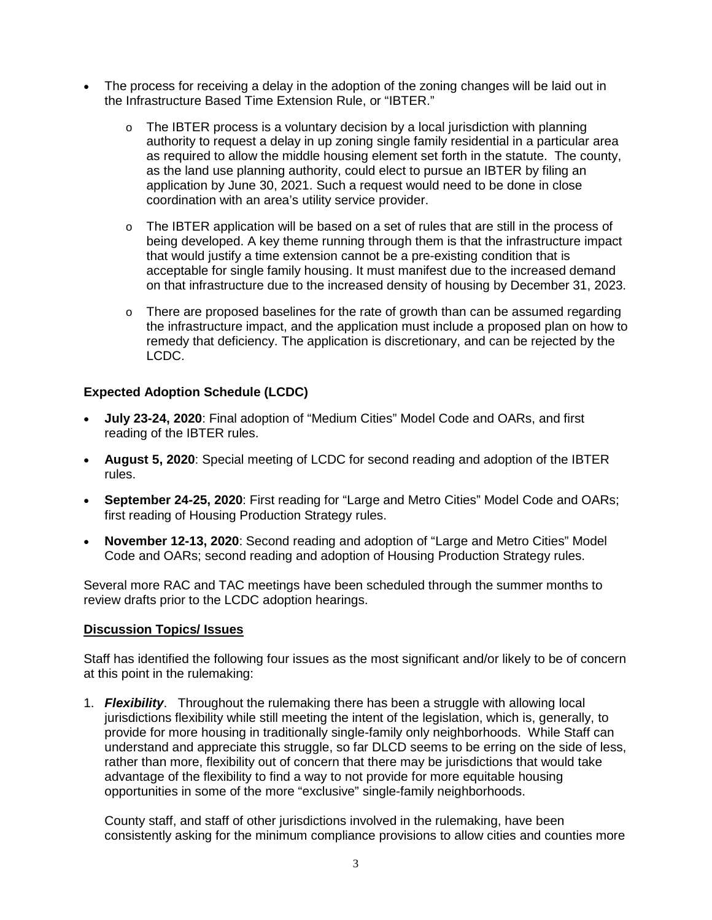- The process for receiving a delay in the adoption of the zoning changes will be laid out in the Infrastructure Based Time Extension Rule, or "IBTER."
	- $\circ$  The IBTER process is a voluntary decision by a local jurisdiction with planning authority to request a delay in up zoning single family residential in a particular area as required to allow the middle housing element set forth in the statute. The county, as the land use planning authority, could elect to pursue an IBTER by filing an application by June 30, 2021. Such a request would need to be done in close coordination with an area's utility service provider.
	- $\circ$  The IBTER application will be based on a set of rules that are still in the process of being developed. A key theme running through them is that the infrastructure impact that would justify a time extension cannot be a pre-existing condition that is acceptable for single family housing. It must manifest due to the increased demand on that infrastructure due to the increased density of housing by December 31, 2023.
	- $\circ$  There are proposed baselines for the rate of growth than can be assumed regarding the infrastructure impact, and the application must include a proposed plan on how to remedy that deficiency. The application is discretionary, and can be rejected by the LCDC.

# **Expected Adoption Schedule (LCDC)**

- **July 23-24, 2020**: Final adoption of "Medium Cities" Model Code and OARs, and first reading of the IBTER rules.
- **August 5, 2020**: Special meeting of LCDC for second reading and adoption of the IBTER rules.
- **September 24-25, 2020**: First reading for "Large and Metro Cities" Model Code and OARs; first reading of Housing Production Strategy rules.
- **November 12-13, 2020**: Second reading and adoption of "Large and Metro Cities" Model Code and OARs; second reading and adoption of Housing Production Strategy rules.

Several more RAC and TAC meetings have been scheduled through the summer months to review drafts prior to the LCDC adoption hearings.

# **Discussion Topics/ Issues**

Staff has identified the following four issues as the most significant and/or likely to be of concern at this point in the rulemaking:

1. *Flexibility*. Throughout the rulemaking there has been a struggle with allowing local jurisdictions flexibility while still meeting the intent of the legislation, which is, generally, to provide for more housing in traditionally single-family only neighborhoods. While Staff can understand and appreciate this struggle, so far DLCD seems to be erring on the side of less, rather than more, flexibility out of concern that there may be jurisdictions that would take advantage of the flexibility to find a way to not provide for more equitable housing opportunities in some of the more "exclusive" single-family neighborhoods.

County staff, and staff of other jurisdictions involved in the rulemaking, have been consistently asking for the minimum compliance provisions to allow cities and counties more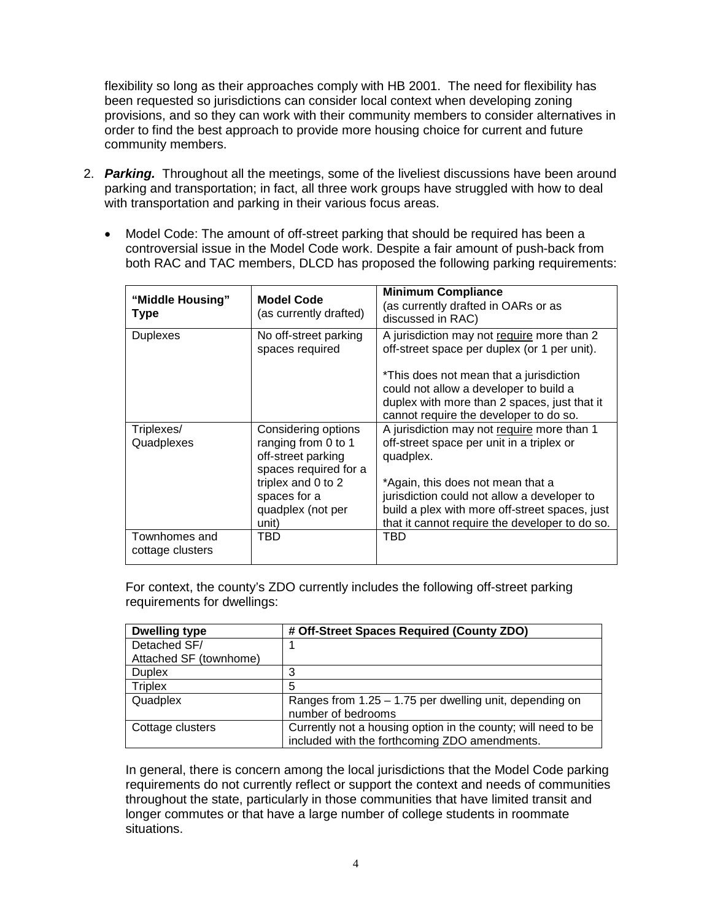flexibility so long as their approaches comply with HB 2001. The need for flexibility has been requested so jurisdictions can consider local context when developing zoning provisions, and so they can work with their community members to consider alternatives in order to find the best approach to provide more housing choice for current and future community members.

- 2. *Parking.* Throughout all the meetings, some of the liveliest discussions have been around parking and transportation; in fact, all three work groups have struggled with how to deal with transportation and parking in their various focus areas.
	- Model Code: The amount of off-street parking that should be required has been a controversial issue in the Model Code work. Despite a fair amount of push-back from both RAC and TAC members, DLCD has proposed the following parking requirements:

| "Middle Housing"<br><b>Type</b>   | <b>Model Code</b><br>(as currently drafted)                                                                                     | <b>Minimum Compliance</b><br>(as currently drafted in OARs or as<br>discussed in RAC)                                                                                                    |
|-----------------------------------|---------------------------------------------------------------------------------------------------------------------------------|------------------------------------------------------------------------------------------------------------------------------------------------------------------------------------------|
| <b>Duplexes</b>                   | No off-street parking<br>spaces required                                                                                        | A jurisdiction may not require more than 2<br>off-street space per duplex (or 1 per unit).                                                                                               |
|                                   |                                                                                                                                 | *This does not mean that a jurisdiction<br>could not allow a developer to build a<br>duplex with more than 2 spaces, just that it<br>cannot require the developer to do so.              |
| Triplexes/<br>Quadplexes          | Considering options<br>ranging from 0 to 1<br>off-street parking<br>spaces required for a<br>triplex and 0 to 2<br>spaces for a | A jurisdiction may not require more than 1<br>off-street space per unit in a triplex or<br>quadplex.<br>*Again, this does not mean that a<br>jurisdiction could not allow a developer to |
|                                   | quadplex (not per<br>unit)                                                                                                      | build a plex with more off-street spaces, just<br>that it cannot require the developer to do so.                                                                                         |
| Townhomes and<br>cottage clusters | TBD                                                                                                                             | TBD                                                                                                                                                                                      |

For context, the county's ZDO currently includes the following off-street parking requirements for dwellings:

| <b>Dwelling type</b>   | # Off-Street Spaces Required (County ZDO)                     |  |
|------------------------|---------------------------------------------------------------|--|
| Detached SF/           |                                                               |  |
| Attached SF (townhome) |                                                               |  |
| <b>Duplex</b>          |                                                               |  |
| <b>Triplex</b>         | 5                                                             |  |
| Quadplex               | Ranges from $1.25 - 1.75$ per dwelling unit, depending on     |  |
|                        | number of bedrooms                                            |  |
| Cottage clusters       | Currently not a housing option in the county; will need to be |  |
|                        | included with the forthcoming ZDO amendments.                 |  |

In general, there is concern among the local jurisdictions that the Model Code parking requirements do not currently reflect or support the context and needs of communities throughout the state, particularly in those communities that have limited transit and longer commutes or that have a large number of college students in roommate situations.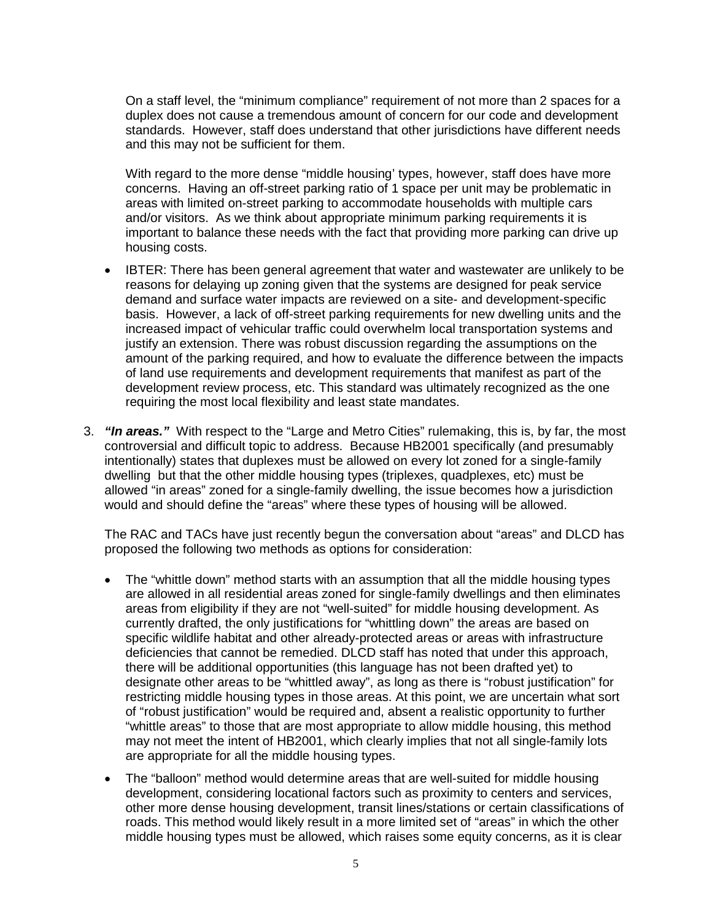On a staff level, the "minimum compliance" requirement of not more than 2 spaces for a duplex does not cause a tremendous amount of concern for our code and development standards. However, staff does understand that other jurisdictions have different needs and this may not be sufficient for them.

With regard to the more dense "middle housing' types, however, staff does have more concerns. Having an off-street parking ratio of 1 space per unit may be problematic in areas with limited on-street parking to accommodate households with multiple cars and/or visitors. As we think about appropriate minimum parking requirements it is important to balance these needs with the fact that providing more parking can drive up housing costs.

- IBTER: There has been general agreement that water and wastewater are unlikely to be reasons for delaying up zoning given that the systems are designed for peak service demand and surface water impacts are reviewed on a site- and development-specific basis. However, a lack of off-street parking requirements for new dwelling units and the increased impact of vehicular traffic could overwhelm local transportation systems and justify an extension. There was robust discussion regarding the assumptions on the amount of the parking required, and how to evaluate the difference between the impacts of land use requirements and development requirements that manifest as part of the development review process, etc. This standard was ultimately recognized as the one requiring the most local flexibility and least state mandates.
- 3. *"In areas."* With respect to the "Large and Metro Cities" rulemaking, this is, by far, the most controversial and difficult topic to address. Because HB2001 specifically (and presumably intentionally) states that duplexes must be allowed on every lot zoned for a single-family dwelling but that the other middle housing types (triplexes, quadplexes, etc) must be allowed "in areas" zoned for a single-family dwelling, the issue becomes how a jurisdiction would and should define the "areas" where these types of housing will be allowed.

The RAC and TACs have just recently begun the conversation about "areas" and DLCD has proposed the following two methods as options for consideration:

- The "whittle down" method starts with an assumption that all the middle housing types are allowed in all residential areas zoned for single-family dwellings and then eliminates areas from eligibility if they are not "well-suited" for middle housing development. As currently drafted, the only justifications for "whittling down" the areas are based on specific wildlife habitat and other already-protected areas or areas with infrastructure deficiencies that cannot be remedied. DLCD staff has noted that under this approach, there will be additional opportunities (this language has not been drafted yet) to designate other areas to be "whittled away", as long as there is "robust justification" for restricting middle housing types in those areas. At this point, we are uncertain what sort of "robust justification" would be required and, absent a realistic opportunity to further "whittle areas" to those that are most appropriate to allow middle housing, this method may not meet the intent of HB2001, which clearly implies that not all single-family lots are appropriate for all the middle housing types.
- The "balloon" method would determine areas that are well-suited for middle housing development, considering locational factors such as proximity to centers and services, other more dense housing development, transit lines/stations or certain classifications of roads. This method would likely result in a more limited set of "areas" in which the other middle housing types must be allowed, which raises some equity concerns, as it is clear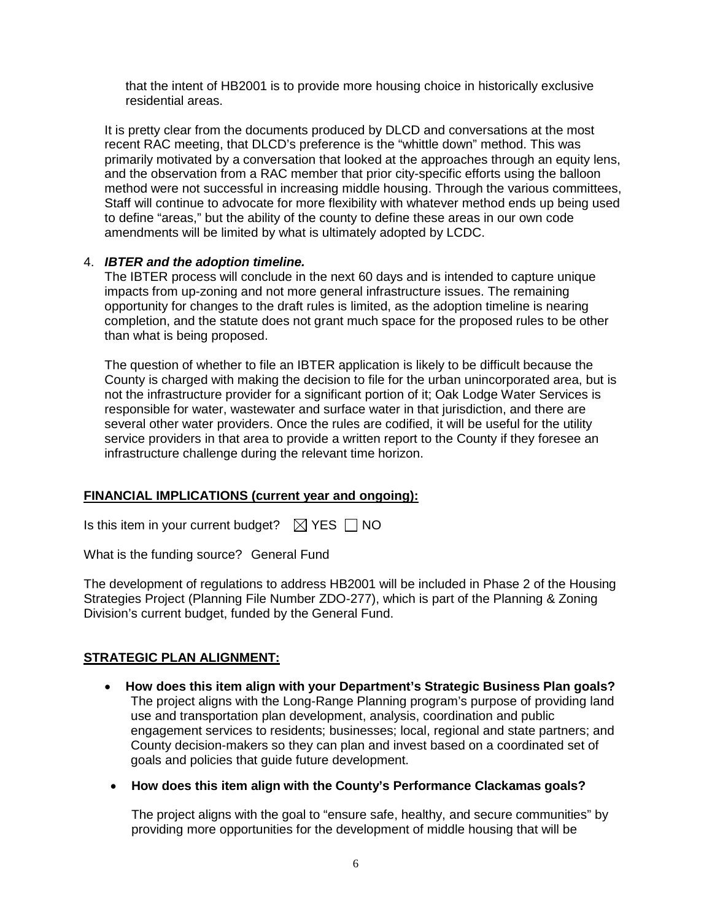that the intent of HB2001 is to provide more housing choice in historically exclusive residential areas.

It is pretty clear from the documents produced by DLCD and conversations at the most recent RAC meeting, that DLCD's preference is the "whittle down" method. This was primarily motivated by a conversation that looked at the approaches through an equity lens, and the observation from a RAC member that prior city-specific efforts using the balloon method were not successful in increasing middle housing. Through the various committees, Staff will continue to advocate for more flexibility with whatever method ends up being used to define "areas," but the ability of the county to define these areas in our own code amendments will be limited by what is ultimately adopted by LCDC.

#### 4. *IBTER and the adoption timeline.*

The IBTER process will conclude in the next 60 days and is intended to capture unique impacts from up-zoning and not more general infrastructure issues. The remaining opportunity for changes to the draft rules is limited, as the adoption timeline is nearing completion, and the statute does not grant much space for the proposed rules to be other than what is being proposed.

The question of whether to file an IBTER application is likely to be difficult because the County is charged with making the decision to file for the urban unincorporated area, but is not the infrastructure provider for a significant portion of it; Oak Lodge Water Services is responsible for water, wastewater and surface water in that jurisdiction, and there are several other water providers. Once the rules are codified, it will be useful for the utility service providers in that area to provide a written report to the County if they foresee an infrastructure challenge during the relevant time horizon.

# **FINANCIAL IMPLICATIONS (current year and ongoing):**

Is this item in your current budget?  $\boxtimes$  YES  $\Box$  NO

What is the funding source? General Fund

The development of regulations to address HB2001 will be included in Phase 2 of the Housing Strategies Project (Planning File Number ZDO-277), which is part of the Planning & Zoning Division's current budget, funded by the General Fund.

# **STRATEGIC PLAN ALIGNMENT:**

- **How does this item align with your Department's Strategic Business Plan goals?**  The project aligns with the Long-Range Planning program's purpose of providing land use and transportation plan development, analysis, coordination and public engagement services to residents; businesses; local, regional and state partners; and County decision-makers so they can plan and invest based on a coordinated set of goals and policies that guide future development.
- **How does this item align with the County's Performance Clackamas goals?**

The project aligns with the goal to "ensure safe, healthy, and secure communities" by providing more opportunities for the development of middle housing that will be